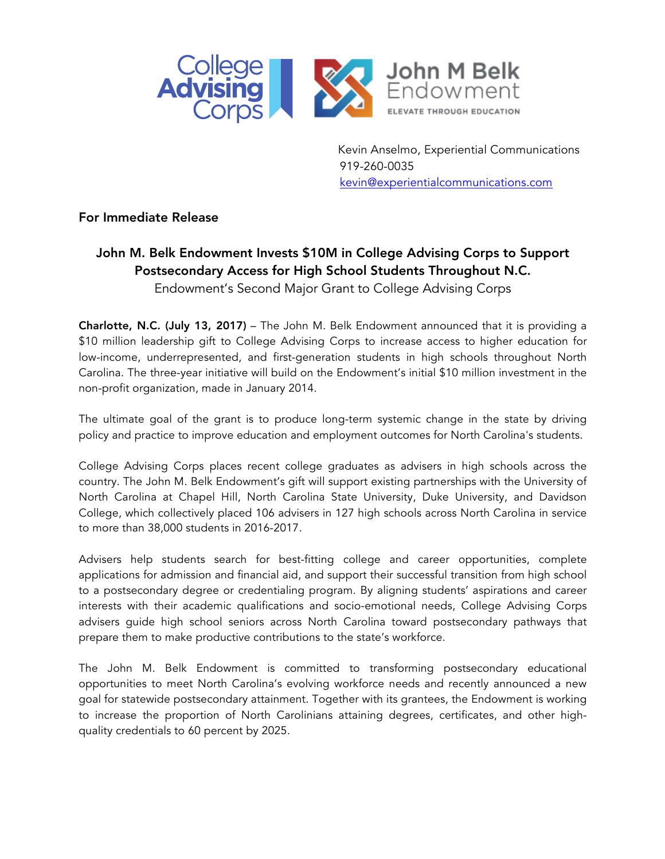

 Kevin Anselmo, Experiential Communications 919-260-0035 kevin@experientialcommunications.com

## For Immediate Release

## John M. Belk Endowment Invests \$10M in College Advising Corps to Support Postsecondary Access for High School Students Throughout N.C. Endowment's Second Major Grant to College Advising Corps

Charlotte, N.C. (July 13, 2017) – The John M. Belk Endowment announced that it is providing a \$10 million leadership gift to College Advising Corps to increase access to higher education for low-income, underrepresented, and first-generation students in high schools throughout North Carolina. The three-year initiative will build on the Endowment's initial \$10 million investment in the non-profit organization, made in January 2014.

The ultimate goal of the grant is to produce long-term systemic change in the state by driving policy and practice to improve education and employment outcomes for North Carolina's students.

College Advising Corps places recent college graduates as advisers in high schools across the country. The John M. Belk Endowment's gift will support existing partnerships with the University of North Carolina at Chapel Hill, North Carolina State University, Duke University, and Davidson College, which collectively placed 106 advisers in 127 high schools across North Carolina in service to more than 38,000 students in 2016-2017.

Advisers help students search for best-fitting college and career opportunities, complete applications for admission and financial aid, and support their successful transition from high school to a postsecondary degree or credentialing program. By aligning students' aspirations and career interests with their academic qualifications and socio-emotional needs, College Advising Corps advisers guide high school seniors across North Carolina toward postsecondary pathways that prepare them to make productive contributions to the state's workforce.

The John M. Belk Endowment is committed to transforming postsecondary educational opportunities to meet North Carolina's evolving workforce needs and recently announced a new goal for statewide postsecondary attainment. Together with its grantees, the Endowment is working to increase the proportion of North Carolinians attaining degrees, certificates, and other highquality credentials to 60 percent by 2025.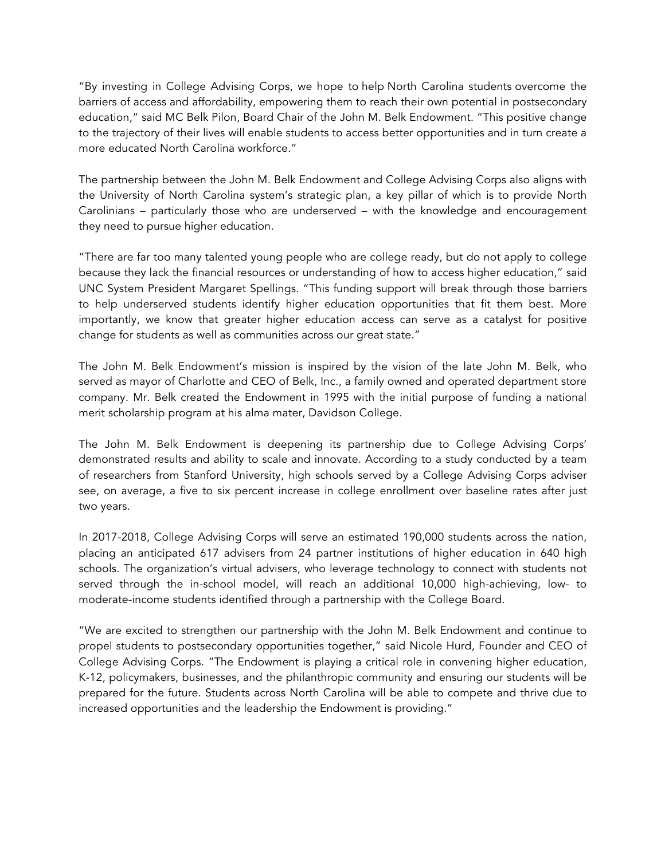"By investing in College Advising Corps, we hope to help North Carolina students overcome the barriers of access and affordability, empowering them to reach their own potential in postsecondary education," said MC Belk Pilon, Board Chair of the John M. Belk Endowment. "This positive change to the trajectory of their lives will enable students to access better opportunities and in turn create a more educated North Carolina workforce."

The partnership between the John M. Belk Endowment and College Advising Corps also aligns with the University of North Carolina system's strategic plan, a key pillar of which is to provide North Carolinians – particularly those who are underserved – with the knowledge and encouragement they need to pursue higher education.

"There are far too many talented young people who are college ready, but do not apply to college because they lack the financial resources or understanding of how to access higher education," said UNC System President Margaret Spellings. "This funding support will break through those barriers to help underserved students identify higher education opportunities that fit them best. More importantly, we know that greater higher education access can serve as a catalyst for positive change for students as well as communities across our great state."

The John M. Belk Endowment's mission is inspired by the vision of the late John M. Belk, who served as mayor of Charlotte and CEO of Belk, Inc., a family owned and operated department store company. Mr. Belk created the Endowment in 1995 with the initial purpose of funding a national merit scholarship program at his alma mater, Davidson College.

The John M. Belk Endowment is deepening its partnership due to College Advising Corps' demonstrated results and ability to scale and innovate. According to a study conducted by a team of researchers from Stanford University, high schools served by a College Advising Corps adviser see, on average, a five to six percent increase in college enrollment over baseline rates after just two years.

In 2017-2018, College Advising Corps will serve an estimated 190,000 students across the nation, placing an anticipated 617 advisers from 24 partner institutions of higher education in 640 high schools. The organization's virtual advisers, who leverage technology to connect with students not served through the in-school model, will reach an additional 10,000 high-achieving, low- to moderate-income students identified through a partnership with the College Board.

"We are excited to strengthen our partnership with the John M. Belk Endowment and continue to propel students to postsecondary opportunities together," said Nicole Hurd, Founder and CEO of College Advising Corps. "The Endowment is playing a critical role in convening higher education, K-12, policymakers, businesses, and the philanthropic community and ensuring our students will be prepared for the future. Students across North Carolina will be able to compete and thrive due to increased opportunities and the leadership the Endowment is providing."